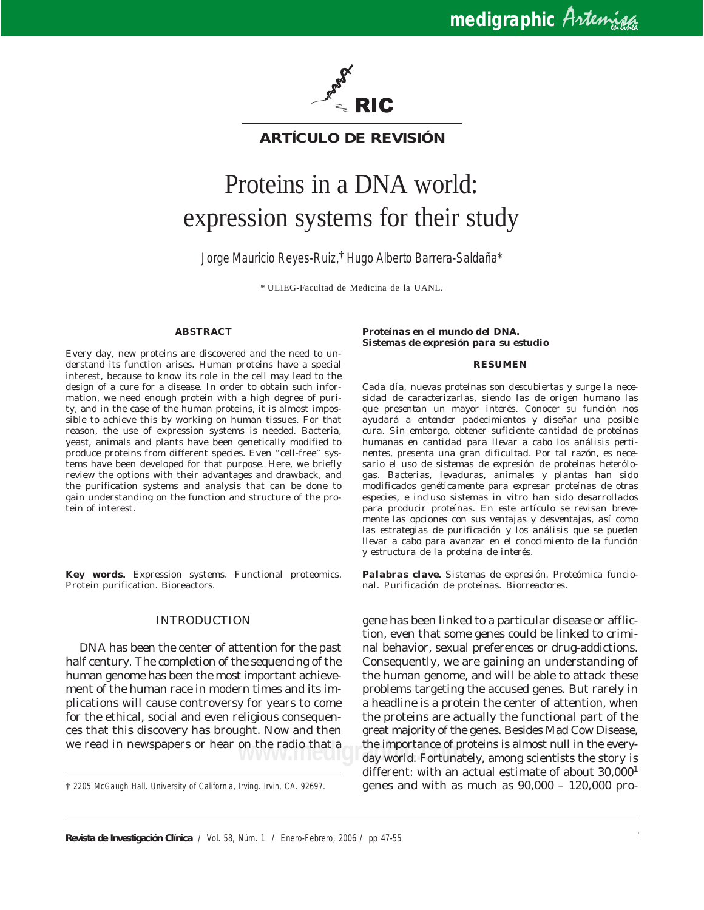

**ARTÍCULO DE REVISIÓN**

# Proteins in a DNA world: expression systems for their study

Jorge Mauricio Reyes-Ruiz,† Hugo Alberto Barrera-Saldaña\*

\* ULIEG-Facultad de Medicina de la UANL.

# **ABSTRACT**

Every day, new proteins are discovered and the need to understand its function arises. Human proteins have a special interest, because to know its role in the cell may lead to the design of a cure for a disease. In order to obtain such information, we need enough protein with a high degree of purity, and in the case of the human proteins, it is almost impossible to achieve this by working on human tissues. For that reason, the use of expression systems is needed. Bacteria, yeast, animals and plants have been genetically modified to produce proteins from different species. Even "cell-free" systems have been developed for that purpose. Here, we briefly review the options with their advantages and drawback, and the purification systems and analysis that can be done to gain understanding on the function and structure of the protein of interest.

**Key words.** Expression systems. Functional proteomics. Protein purification. Bioreactors.

# INTRODUCTION

DNA has been the center of attention for the past half century. The completion of the sequencing of the human genome has been the most important achievement of the human race in modern times and its implications will cause controversy for years to come for the ethical, social and even religious consequences that this discovery has brought. Now and then we read in newspapers or hear on the radio that a

#### *Proteínas en el mundo del DNA. Sistemas de expresión para su estudio*

#### *RESUMEN*

*Cada día, nuevas proteínas son descubiertas y surge la necesidad de caracterizarlas, siendo las de origen humano las que presentan un mayor interés. Conocer su función nos ayudará a entender padecimientos y diseñar una posible cura. Sin embargo, obtener suficiente cantidad de proteínas humanas en cantidad para llevar a cabo los análisis pertinentes, presenta una gran dificultad. Por tal razón, es necesario el uso de sistemas de expresión de proteínas heterólogas. Bacterias, levaduras, animales y plantas han sido modificados genéticamente para expresar proteínas de otras especies, e incluso sistemas* in vitro *han sido desarrollados para producir proteínas. En este artículo se revisan brevemente las opciones con sus ventajas y desventajas, así como las estrategias de purificación y los análisis que se pueden llevar a cabo para avanzar en el conocimiento de la función y estructura de la proteína de interés.*

*Palabras clave. Sistemas de expresión. Proteómica funcional. Purificación de proteínas. Biorreactores.*

on the radio that a sthe importance of proteins is almost null in the every-<br>day world. Fortunately, among scientists the story is gene has been linked to a particular disease or affliction, even that some genes could be linked to criminal behavior, sexual preferences or drug-addictions. Consequently, we are gaining an understanding of the human genome, and will be able to attack these problems targeting the accused genes. But rarely in a headline is a protein the center of attention, when the proteins are actually the functional part of the great majority of the genes. Besides Mad Cow Disease, the importance of proteins is almost null in the everydifferent: with an actual estimate of about 30,000<sup>1</sup> genes and with as much as 90,000 – 120,000 pro-

<sup>†</sup> 2205 McGaugh Hall. University of California, Irving. Irvin, CA. 92697.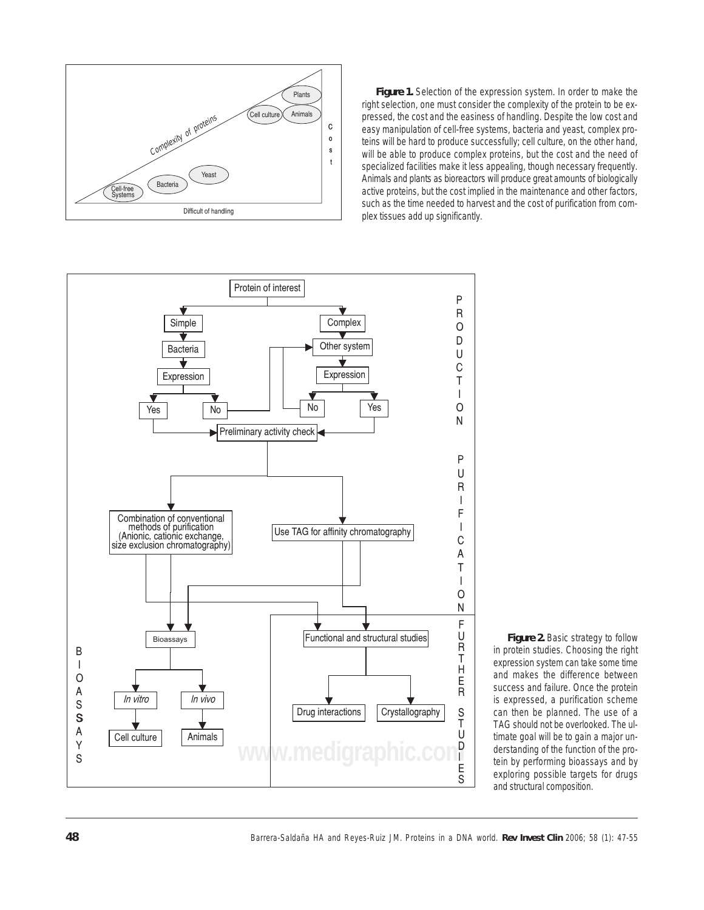

*Figure 1. Selection of the expression system. In order to make the right selection, one must consider the complexity of the protein to be expressed, the cost and the easiness of handling. Despite the low cost and easy manipulation of cell-free systems, bacteria and yeast, complex proteins will be hard to produce successfully; cell culture, on the other hand, will be able to produce complex proteins, but the cost and the need of specialized facilities make it less appealing, though necessary frequently. Animals and plants as bioreactors will produce great amounts of biologically active proteins, but the cost implied in the maintenance and other factors, such as the time needed to harvest and the cost of purification from complex tissues add up significantly.*



*Figure 2. Basic strategy to follow in protein studies. Choosing the right expression system can take some time and makes the difference between success and failure. Once the protein is expressed, a purification scheme can then be planned. The use of a TAG should not be overlooked. The ultimate goal will be to gain a major understanding of the function of the protein by performing bioassays and by exploring possible targets for drugs and structural composition.*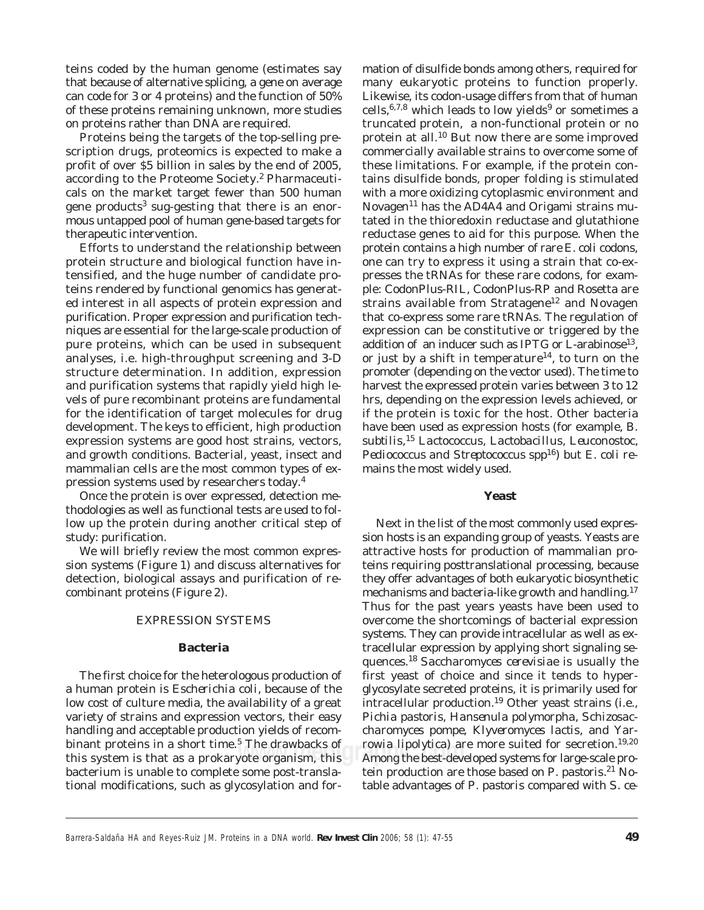teins coded by the human genome (estimates say that because of alternative splicing, a gene on average can code for 3 or 4 proteins) and the function of 50% of these proteins remaining unknown, more studies on proteins rather than DNA are required.

Proteins being the targets of the top-selling prescription drugs, proteomics is expected to make a profit of over \$5 billion in sales by the end of 2005, according to the Proteome Society.<sup>2</sup> Pharmaceuticals on the market target fewer than 500 human gene products<sup>3</sup> sug-gesting that there is an enormous untapped pool of human gene-based targets for therapeutic intervention.

purification. Proper expression and purification tech-Efforts to understand the relationship between protein structure and biological function have intensified, and the huge number of candidate proteins rendered by functional genomics has generated interest in all aspects of protein expression and niques are essential for the large-scale production of pure proteins, which can be used in subsequent analyses, i.e. high-throughput screening and 3-D structure determination. In addition, expression and purification systems that rapidly yield high levels of pure recombinant proteins are fundamental for the identification of target molecules for drug development. The keys to efficient, high production expression systems are good host strains, vectors, and growth conditions. Bacterial, yeast, insect and mammalian cells are the most common types of expression systems used by researchers today.<sup>4</sup>

Once the protein is over expressed, detection methodologies as well as functional tests are used to follow up the protein during another critical step of study: purification.

We will briefly review the most common expression systems (Figure 1) and discuss alternatives for detection, biological assays and purification of recombinant proteins (Figure 2).

# EXPRESSION SYSTEMS

# **Bacteria**

The first choice for the heterologous production of a human protein is *Escherichia coli,* because of the low cost of culture media, the availability of a great variety of strains and expression vectors, their easy handling and acceptable production yields of recombinant proteins in a short time.<sup>5</sup> The drawbacks of this system is that as a prokaryote organism, this bacterium is unable to complete some post-translational modifications, such as glycosylation and formation of disulfide bonds among others, required for many eukaryotic proteins to function properly. Likewise, its codon-usage differs from that of human cells,  $6,7,8$  which leads to low yields<sup>9</sup> or sometimes a truncated protein, a non-functional protein or no protein at all.10 But now there are some improved commercially available strains to overcome some of these limitations. For example, if the protein contains disulfide bonds, proper folding is stimulated with a more oxidizing cytoplasmic environment and Novagen<sup>11</sup> has the AD4A4 and Origami strains mutated in the thioredoxin reductase and glutathione reductase genes to aid for this purpose. When the protein contains a high number of rare *E. coli* codons, one can try to express it using a strain that co-expresses the tRNAs for these rare codons, for example: CodonPlus-RIL, CodonPlus-RP and Rosetta are strains available from Stratagene<sup>12</sup> and Novagen that co-express some rare tRNAs. The regulation of expression can be constitutive or triggered by the addition of an inducer such as IPTG or L-arabinose<sup>13</sup>, or just by a shift in temperature<sup>14</sup>, to turn on the promoter (depending on the vector used). The time to harvest the expressed protein varies between 3 to 12 hrs, depending on the expression levels achieved, or if the protein is toxic for the host. Other bacteria have been used as expression hosts (for example, *B. subtilis,*<sup>15</sup> *Lactococcus, Lactobacillus, Leuconostoc, Pediococcus and Streptococcus spp*16) but *E. coli* remains the most widely used.

### **Yeast**

The drawbacks of *rowia lipolytica*) are more suited for secretion.<sup>19,20</sup><br>/ote organism, this Among the best-developed systems for large-scale pro-Next in the list of the most commonly used expression hosts is an expanding group of yeasts. Yeasts are attractive hosts for production of mammalian proteins requiring posttranslational processing, because they offer advantages of both eukaryotic biosynthetic mechanisms and bacteria-like growth and handling.<sup>17</sup> Thus for the past years yeasts have been used to overcome the shortcomings of bacterial expression systems. They can provide intracellular as well as extracellular expression by applying short signaling sequences.<sup>18</sup>*Saccharomyces cerevisiae* is usually the first yeast of choice and since it tends to hyperglycosylate secreted proteins, it is primarily used for intracellular production.19 Other yeast strains (i.e., *Pichia pastoris, Hansenula polymorpha, Schizosaccharomyces pompe, Klyveromyces lactis*, and *Yarrowia lipolytica*) are more suited for secretion.<sup>19,20</sup> tein production are those based on *P. pastoris*. 21 Notable advantages of *P. pastoris* compared with *S. ce-*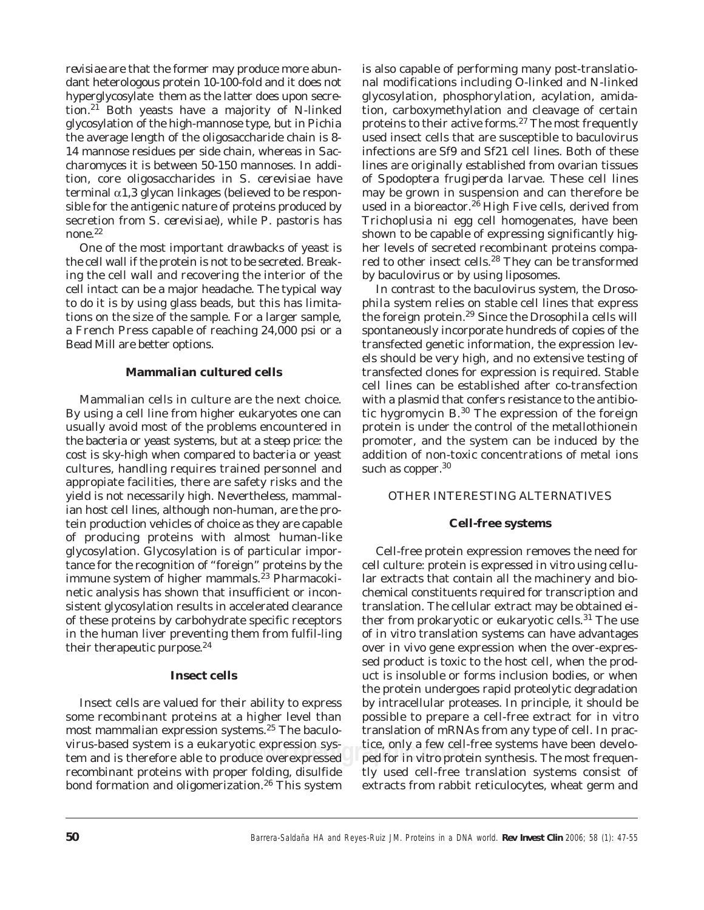*revisiae* are that the former may produce more abundant heterologous protein 10-100-fold and it does not hyperglycosylate them as the latter does upon secretion.21 Both yeasts have a majority of N-linked glycosylation of the high-mannose type, but in *Pichia* the average length of the oligosaccharide chain is 8- 14 mannose residues per side chain, whereas in *Saccharomyces* it is between 50-150 mannoses. In addition, core oligosaccharides in *S. cerevisiae* have terminal  $\alpha$ 1,3 glycan linkages (believed to be responsible for the antigenic nature of proteins produced by secretion from *S. cerevisiae)*, while *P. pastoris* has none.22

One of the most important drawbacks of yeast is the cell wall if the protein is not to be secreted. Breaking the cell wall and recovering the interior of the cell intact can be a major headache. The typical way to do it is by using glass beads, but this has limitations on the size of the sample. For a larger sample, a French Press capable of reaching 24,000 psi or a Bead Mill are better options.

# **Mammalian cultured cells**

Mammalian cells in culture are the next choice. By using a cell line from higher eukaryotes one can usually avoid most of the problems encountered in the bacteria or yeast systems, but at a steep price: the cost is sky-high when compared to bacteria or yeast cultures, handling requires trained personnel and appropiate facilities, there are safety risks and the yield is not necessarily high. Nevertheless, mammalian host cell lines, although non-human, are the protein production vehicles of choice as they are capable of producing proteins with almost human-like glycosylation. Glycosylation is of particular importance for the recognition of "foreign" proteins by the immune system of higher mammals.<sup>23</sup> Pharmacokinetic analysis has shown that insufficient or inconsistent glycosylation results in accelerated clearance of these proteins by carbohydrate specific receptors in the human liver preventing them from fulfil-ling their therapeutic purpose.<sup>24</sup>

# **Insect cells**

Insect cells are valued for their ability to express some recombinant proteins at a higher level than most mammalian expression systems.25 The baculovirus-based system is a eukaryotic expression system and is therefore able to produce overexpressed recombinant proteins with proper folding, disulfide bond formation and oligomerization.<sup>26</sup> This system is also capable of performing many post-translational modifications including O-linked and N-linked glycosylation, phosphorylation, acylation, amidation, carboxymethylation and cleavage of certain proteins to their active forms.27 The most frequently used insect cells that are susceptible to baculovirus infections are Sf9 and Sf21 cell lines. Both of these lines are originally established from ovarian tissues of *Spodoptera frugiperda* larvae. These cell lines may be grown in suspension and can therefore be used in a bioreactor.<sup>26</sup> High Five cells, derived from *Trichoplusia ni* egg cell homogenates, have been shown to be capable of expressing significantly higher levels of secreted recombinant proteins compared to other insect cells.<sup>28</sup> They can be transformed by baculovirus or by using liposomes.

In contrast to the baculovirus system, the *Drosophila* system relies on stable cell lines that express the foreign protein.29 Since the *Drosophila* cells will spontaneously incorporate hundreds of copies of the transfected genetic information, the expression levels should be very high, and no extensive testing of transfected clones for expression is required. Stable cell lines can be established after co-transfection with a plasmid that confers resistance to the antibiotic hygromycin B.30 The expression of the foreign protein is under the control of the metallothionein promoter, and the system can be induced by the addition of non-toxic concentrations of metal ions such as copper.<sup>30</sup>

# OTHER INTERESTING ALTERNATIVES

# **Cell-free systems**

rtic expression sys-cometage, only a few cell-free systems have been develo-<br>duce overexpressed comet for *in vitro* protein synthesis. The most frequen-Cell-free protein expression removes the need for cell culture: protein is expressed *in vitro* using cellular extracts that contain all the machinery and biochemical constituents required for transcription and translation. The cellular extract may be obtained either from prokaryotic or eukaryotic cells.<sup>31</sup> The use of *in vitro* translation systems can have advantages over *in vivo* gene expression when the over-expressed product is toxic to the host cell, when the product is insoluble or forms inclusion bodies, or when the protein undergoes rapid proteolytic degradation by intracellular proteases. In principle, it should be possible to prepare a cell-free extract for *in vitro* translation of mRNAs from any type of cell. In practice, only a few cell-free systems have been develotly used cell-free translation systems consist of extracts from rabbit reticulocytes, wheat germ and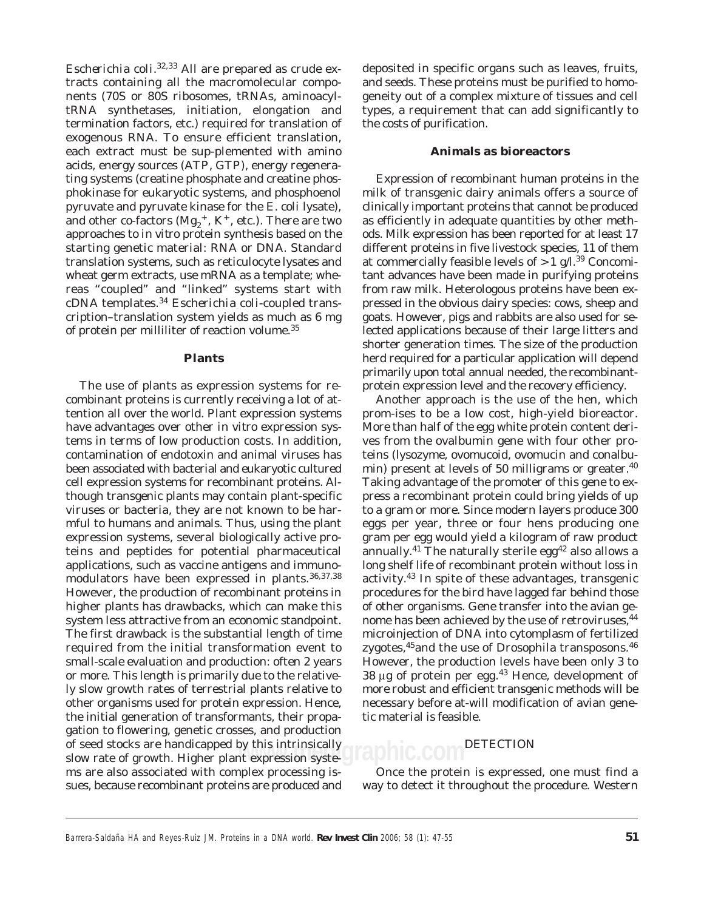*Escherichia coli*. 32,33 All are prepared as crude extracts containing all the macromolecular components (70S or 80S ribosomes, tRNAs, aminoacyltRNA synthetases, initiation, elongation and termination factors, etc.) required for translation of exogenous RNA. To ensure efficient translation, each extract must be sup-plemented with amino acids, energy sources (ATP, GTP), energy regenerating systems (creatine phosphate and creatine phosphokinase for eukaryotic systems, and phosphoenol pyruvate and pyruvate kinase for the *E. coli* lysate), and other co-factors  $(Mg_2^+, K^+, etc.).$  There are two approaches to *in vitro* protein synthesis based on the starting genetic material: RNA or DNA. Standard translation systems, such as reticulocyte lysates and wheat germ extracts, use mRNA as a template; whereas "coupled" and "linked" systems start with cDNA templates.<sup>34</sup> *Escherichia coli*-coupled transcription–translation system yields as much as 6 mg of protein per milliliter of reaction volume.<sup>35</sup>

#### **Plants**

of seed stocks are handicapped by this intrinsically<br>slow rate of growth. Higher plant expression syste- **JIADNIC.COM** The use of plants as expression systems for recombinant proteins is currently receiving a lot of attention all over the world. Plant expression systems have advantages over other *in vitro* expression systems in terms of low production costs. In addition, contamination of endotoxin and animal viruses has been associated with bacterial and eukaryotic cultured cell expression systems for recombinant proteins. Although transgenic plants may contain plant-specific viruses or bacteria, they are not known to be harmful to humans and animals. Thus, using the plant expression systems, several biologically active proteins and peptides for potential pharmaceutical applications, such as vaccine antigens and immunomodulators have been expressed in plants.36,37,38 However, the production of recombinant proteins in higher plants has drawbacks, which can make this system less attractive from an economic standpoint. The first drawback is the substantial length of time required from the initial transformation event to small-scale evaluation and production: often 2 years or more. This length is primarily due to the relatively slow growth rates of terrestrial plants relative to other organisms used for protein expression. Hence, the initial generation of transformants, their propagation to flowering, genetic crosses, and production of seed stocks are handicapped by this intrinsically ms are also associated with complex processing issues, because recombinant proteins are produced and

deposited in specific organs such as leaves, fruits, and seeds. These proteins must be purified to homogeneity out of a complex mixture of tissues and cell types, a requirement that can add significantly to the costs of purification.

# **Animals as bioreactors**

Expression of recombinant human proteins in the milk of transgenic dairy animals offers a source of clinically important proteins that cannot be produced as efficiently in adequate quantities by other methods. Milk expression has been reported for at least 17 different proteins in five livestock species, 11 of them at commercially feasible levels of  $>1$  g/l.<sup>39</sup> Concomitant advances have been made in purifying proteins from raw milk. Heterologous proteins have been expressed in the obvious dairy species: cows, sheep and goats. However, pigs and rabbits are also used for selected applications because of their large litters and shorter generation times. The size of the production herd required for a particular application will depend primarily upon total annual needed, the recombinantprotein expression level and the recovery efficiency.

Another approach is the use of the hen, which prom-ises to be a low cost, high-yield bioreactor. More than half of the egg white protein content derives from the ovalbumin gene with four other proteins (lysozyme, ovomucoid, ovomucin and conalbumin) present at levels of 50 milligrams or greater.<sup>40</sup> Taking advantage of the promoter of this gene to express a recombinant protein could bring yields of up to a gram or more. Since modern layers produce 300 eggs per year, three or four hens producing one gram per egg would yield a kilogram of raw product annually.<sup>41</sup> The naturally sterile egg<sup>42</sup> also allows a long shelf life of recombinant protein without loss in activity.43 In spite of these advantages, transgenic procedures for the bird have lagged far behind those of other organisms. Gene transfer into the avian genome has been achieved by the use of retroviruses,  $44$ microinjection of DNA into cytomplasm of fertilized zygotes,<sup>45</sup> and the use of Drosophila transposons.<sup>46</sup> However, the production levels have been only 3 to 38 μg of protein per egg.43 Hence, development of more robust and efficient transgenic methods will be necessary before at-will modification of avian genetic material is feasible.

# **DETECTION**

Once the protein is expressed, one must find a way to detect it throughout the procedure. Western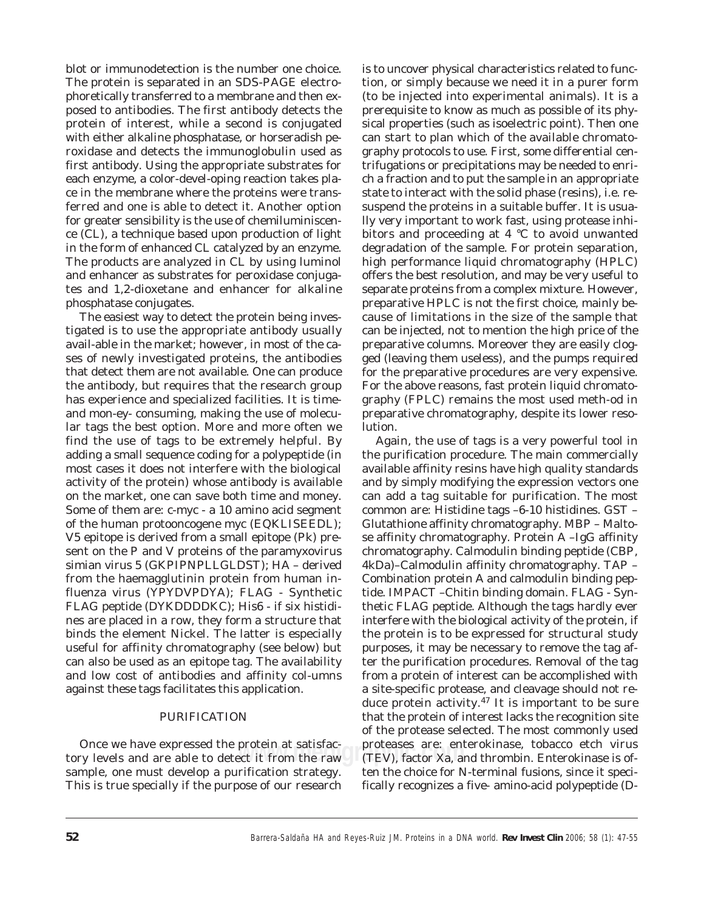blot or immunodetection is the number one choice. The protein is separated in an SDS-PAGE electrophoretically transferred to a membrane and then exposed to antibodies. The first antibody detects the protein of interest, while a second is conjugated with either alkaline phosphatase, or horseradish peroxidase and detects the immunoglobulin used as first antibody. Using the appropriate substrates for each enzyme, a color-devel-oping reaction takes place in the membrane where the proteins were transferred and one is able to detect it. Another option for greater sensibility is the use of chemiluminiscence (CL), a technique based upon production of light in the form of enhanced CL catalyzed by an enzyme. The products are analyzed in CL by using luminol and enhancer as substrates for peroxidase conjugates and 1,2-dioxetane and enhancer for alkaline phosphatase conjugates.

The easiest way to detect the protein being investigated is to use the appropriate antibody usually avail-able in the market; however, in most of the cases of newly investigated proteins, the antibodies that detect them are not available. One can produce the antibody, but requires that the research group has experience and specialized facilities. It is timeand mon-ey- consuming, making the use of molecular tags the best option. More and more often we find the use of tags to be extremely helpful. By adding a small sequence coding for a polypeptide (in most cases it does not interfere with the biological activity of the protein) whose antibody is available on the market, one can save both time and money. Some of them are: c-myc - a 10 amino acid segment of the human protooncogene myc (EQKLISEEDL); V5 epitope is derived from a small epitope (Pk) present on the P and V proteins of the paramyxovirus simian virus 5 (GKPIPNPLLGLDST); HA – derived from the haemagglutinin protein from human influenza virus (YPYDVPDYA); FLAG - Synthetic FLAG peptide (DYKDDDDKC); His6 - if six histidines are placed in a row, they form a structure that binds the element Nickel. The latter is especially useful for affinity chromatography (see below) but can also be used as an epitope tag. The availability and low cost of antibodies and affinity col-umns against these tags facilitates this application.

# PURIFICATION

Unce we nave expressed the protein at satisfac-<br>tory levels and are able to detect it from the raw (TEV), factor Xa, an Once we have expressed the protein at satisfacsample, one must develop a purification strategy. This is true specially if the purpose of our research

is to uncover physical characteristics related to function, or simply because we need it in a purer form (to be injected into experimental animals). It is a prerequisite to know as much as possible of its physical properties (such as isoelectric point). Then one can start to plan which of the available chromatography protocols to use. First, some differential centrifugations or precipitations may be needed to enrich a fraction and to put the sample in an appropriate state to interact with the solid phase (resins), i.e. resuspend the proteins in a suitable buffer. It is usually very important to work fast, using protease inhibitors and proceeding at 4 °C to avoid unwanted degradation of the sample. For protein separation, high performance liquid chromatography (HPLC) offers the best resolution, and may be very useful to separate proteins from a complex mixture. However, preparative HPLC is not the first choice, mainly because of limitations in the size of the sample that can be injected, not to mention the high price of the preparative columns. Moreover they are easily clogged (leaving them useless), and the pumps required for the preparative procedures are very expensive. For the above reasons, fast protein liquid chromatography (FPLC) remains the most used meth-od in preparative chromatography, despite its lower resolution.

Again, the use of tags is a very powerful tool in the purification procedure. The main commercially available affinity resins have high quality standards and by simply modifying the expression vectors one can add a tag suitable for purification. The most common are: Histidine tags –6-10 histidines. GST – Glutathione affinity chromatography. MBP – Maltose affinity chromatography. Protein A –IgG affinity chromatography. Calmodulin binding peptide (CBP, 4kDa)–Calmodulin affinity chromatography. TAP – Combination protein A and calmodulin binding peptide. IMPACT –Chitin binding domain. FLAG - Synthetic FLAG peptide. Although the tags hardly ever interfere with the biological activity of the protein, if the protein is to be expressed for structural study purposes, it may be necessary to remove the tag after the purification procedures. Removal of the tag from a protein of interest can be accomplished with a site-specific protease, and cleavage should not reduce protein activity.47 It is important to be sure that the protein of interest lacks the recognition site of the protease selected. The most commonly used proteases are: enterokinase, tobacco etch virus (TEV), factor Xa, and thrombin. Enterokinase is often the choice for N-terminal fusions, since it specifically recognizes a five- amino-acid polypeptide (D-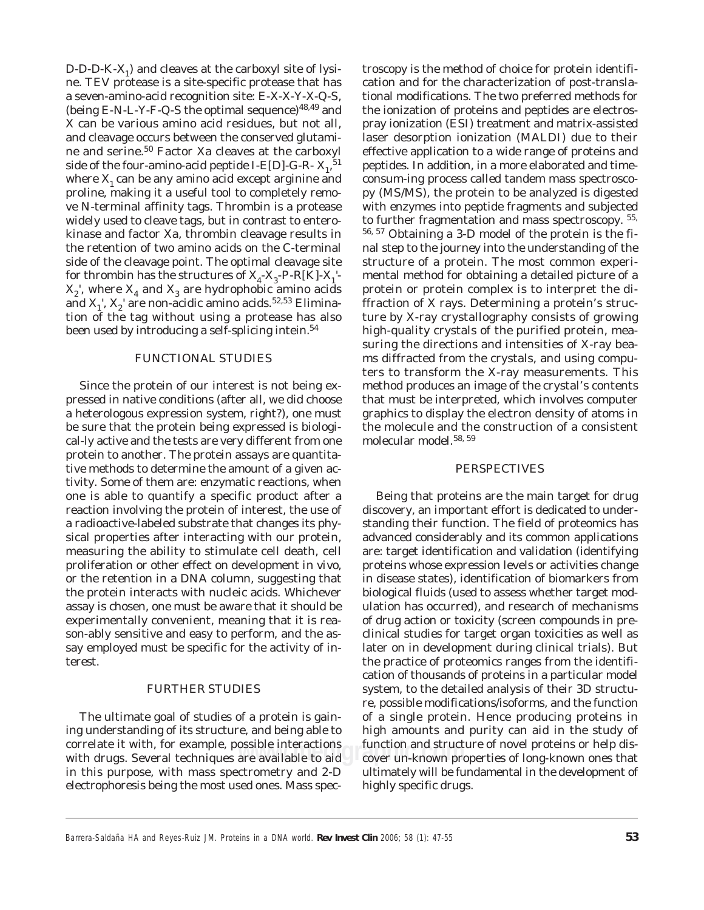$D-D-D-K-X_1$ ) and cleaves at the carboxyl site of lysine. TEV protease is a site-specific protease that has a seven-amino-acid recognition site: E-X-X-Y-X-Q-S, (being E-N-L-Y-F-Q-S the optimal sequence)<sup>48,49</sup> and X can be various amino acid residues, but not all, and cleavage occurs between the conserved glutamine and serine.50 Factor Xa cleaves at the carboxyl side of the four-amino-acid peptide I-E[D]-G-R-  $X_1$ , <sup>51</sup> where  $X_1$  can be any amino acid except arginine and proline, making it a useful tool to completely remove N-terminal affinity tags. Thrombin is a protease widely used to cleave tags, but in contrast to enterokinase and factor Xa, thrombin cleavage results in the retention of two amino acids on the C-terminal side of the cleavage point. The optimal cleavage site for thrombin has the structures of  $\mathrm{X}_4\text{-}\mathrm{X}_3\text{-}\mathrm{P-R[K]} \text{-}\mathrm{X}_1$ '- $X_2$ <sup>'</sup>, where  $X_4$  and  $X_3$  are hydrophobic amino acids and  $X_1$ ',  $X_2$ ' are non-acidic amino acids.<sup>52,53</sup> Elimination of the tag without using a protease has also been used by introducing a self-splicing intein.<sup>54</sup>

# FUNCTIONAL STUDIES

Since the protein of our interest is not being expressed in native conditions (after all, we did choose a heterologous expression system, right?), one must be sure that the protein being expressed is biological-ly active and the tests are very different from one protein to another. The protein assays are quantitative methods to determine the amount of a given activity. Some of them are: enzymatic reactions, when one is able to quantify a specific product after a reaction involving the protein of interest, the use of a radioactive-labeled substrate that changes its physical properties after interacting with our protein, measuring the ability to stimulate cell death, cell proliferation or other effect on development *in vivo*, or the retention in a DNA column, suggesting that the protein interacts with nucleic acids. Whichever assay is chosen, one must be aware that it should be experimentally convenient, meaning that it is reason-ably sensitive and easy to perform, and the assay employed must be specific for the activity of interest.

# FURTHER STUDIES

The ultimate goal of studies of a protein is gaining understanding of its structure, and being able to correlate it with, for example, possible interactions with drugs. Several techniques are available to aid in this purpose, with mass spectrometry and 2-D electrophoresis being the most used ones. Mass spectroscopy is the method of choice for protein identification and for the characterization of post-translational modifications. The two preferred methods for the ionization of proteins and peptides are electrospray ionization (ESI) treatment and matrix-assisted laser desorption ionization (MALDI) due to their effective application to a wide range of proteins and peptides. In addition, in a more elaborated and timeconsum-ing process called tandem mass spectroscopy (MS/MS), the protein to be analyzed is digested with enzymes into peptide fragments and subjected to further fragmentation and mass spectroscopy. 55, 56, 57 Obtaining a 3-D model of the protein is the final step to the journey into the understanding of the structure of a protein. The most common experimental method for obtaining a detailed picture of a protein or protein complex is to interpret the diffraction of X rays. Determining a protein's structure by X-ray crystallography consists of growing high-quality crystals of the purified protein, measuring the directions and intensities of X-ray beams diffracted from the crystals, and using computers to transform the X-ray measurements. This method produces an image of the crystal's contents that must be interpreted, which involves computer graphics to display the electron density of atoms in the molecule and the construction of a consistent molecular model.58, 59

# PERSPECTIVES

ossible interactions tunction and structure of novel proteins or help dis-<br>are available to aid cover un-known properties of long-known ones that Being that proteins are the main target for drug discovery, an important effort is dedicated to understanding their function. The field of proteomics has advanced considerably and its common applications are: target identification and validation (identifying proteins whose expression levels or activities change in disease states), identification of biomarkers from biological fluids (used to assess whether target modulation has occurred), and research of mechanisms of drug action or toxicity (screen compounds in preclinical studies for target organ toxicities as well as later on in development during clinical trials). But the practice of proteomics ranges from the identification of thousands of proteins in a particular model system, to the detailed analysis of their 3D structure, possible modifications/isoforms, and the function of a single protein. Hence producing proteins in high amounts and purity can aid in the study of function and structure of novel proteins or help disultimately will be fundamental in the development of highly specific drugs.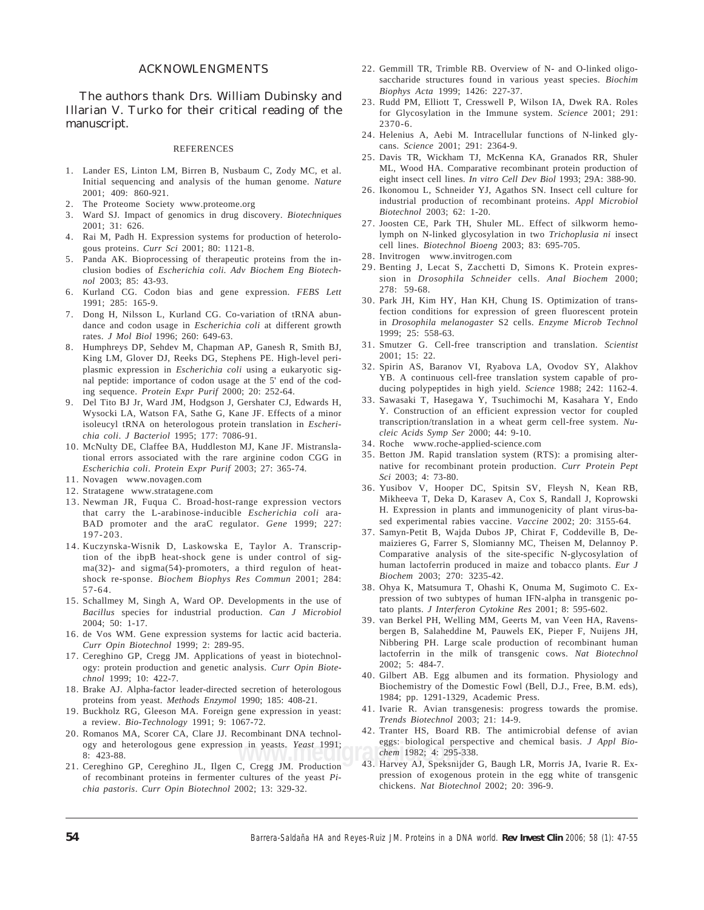# ACKNOWLENGMENTS

The authors thank Drs. William Dubinsky and Illarian V. Turko for their critical reading of the manuscript.

#### **REFERENCES**

- 1. Lander ES, Linton LM, Birren B, Nusbaum C, Zody MC, et al. Initial sequencing and analysis of the human genome. *Nature* 2001; 409: 860-921.
- 2. The Proteome Society www.proteome.org
- 3. Ward SJ. Impact of genomics in drug discovery. *Biotechniques* 2001; 31: 626.
- 4. Rai M, Padh H. Expression systems for production of heterologous proteins. *Curr Sci* 2001; 80: 1121-8.
- 5. Panda AK. Bioprocessing of therapeutic proteins from the inclusion bodies of *Escherichia coli*. *Adv Biochem Eng Biotechnol* 2003; 85: 43-93.
- 6. Kurland CG. Codon bias and gene expression. *FEBS Lett* 1991; 285: 165-9.
- 7. Dong H, Nilsson L, Kurland CG. Co-variation of tRNA abundance and codon usage in *Escherichia coli* at different growth rates. *J Mol Biol* 1996; 260: 649-63.
- 8. Humphreys DP, Sehdev M, Chapman AP, Ganesh R, Smith BJ, King LM, Glover DJ, Reeks DG, Stephens PE. High-level periplasmic expression in *Escherichia coli* using a eukaryotic signal peptide: importance of codon usage at the 5' end of the coding sequence. *Protein Expr Purif* 2000; 20: 252-64.
- 9. Del Tito BJ Jr, Ward JM, Hodgson J, Gershater CJ, Edwards H, Wysocki LA, Watson FA, Sathe G, Kane JF. Effects of a minor isoleucyl tRNA on heterologous protein translation in *Escherichia coli*. *J Bacteriol* 1995; 177: 7086-91.
- 10. McNulty DE, Claffee BA, Huddleston MJ, Kane JF. Mistranslational errors associated with the rare arginine codon CGG in *Escherichia coli*. *Protein Expr Purif* 2003; 27: 365-74.
- 11. Novagen www.novagen.com
- 12. Stratagene www.stratagene.com
- 13. Newman JR, Fuqua C. Broad-host-range expression vectors that carry the L-arabinose-inducible *Escherichia coli* ara-BAD promoter and the araC regulator. *Gene* 1999; 227: 197-203.
- 14. Kuczynska-Wisnik D, Laskowska E, Taylor A. Transcription of the ibpB heat-shock gene is under control of sigma(32)- and sigma(54)-promoters, a third regulon of heatshock re-sponse. *Biochem Biophys Res Commun* 2001; 284: 57-64.
- 15. Schallmey M, Singh A, Ward OP. Developments in the use of *Bacillus* species for industrial production. *Can J Microbiol* 2004; 50: 1-17.
- 16. de Vos WM. Gene expression systems for lactic acid bacteria. *Curr Opin Biotechnol* 1999; 2: 289-95.
- 17. Cereghino GP, Cregg JM. Applications of yeast in biotechnology: protein production and genetic analysis. *Curr Opin Biotechnol* 1999; 10: 422-7.
- 18. Brake AJ. Alpha-factor leader-directed secretion of heterologous proteins from yeast. *Methods Enzymol* 1990; 185: 408-21.
- 19. Buckholz RG, Gleeson MA. Foreign gene expression in yeast: a review. *Bio-Technology* 1991; 9: 1067-72.
- media 1982; 1991; eggs. probgical perspectively at the chemical and 1982; 4: 295-338.<br> **chemical Alexander** 1. 2005-338. 20. Romanos MA, Scorer CA, Clare JJ. Recombinant DNA technology and heterologous gene expression in yeasts. *Yeast* 1991; 8: 423-88.
- 21. Cereghino GP, Cereghino JL, Ilgen C, Cregg JM. Production of recombinant proteins in fermenter cultures of the yeast *Pichia pastoris*. *Curr Opin Biotechnol* 2002; 13: 329-32.
- 22. Gemmill TR, Trimble RB. Overview of N- and O-linked oligosaccharide structures found in various yeast species. *Biochim Biophys Acta* 1999; 1426: 227-37.
- 23. Rudd PM, Elliott T, Cresswell P, Wilson IA, Dwek RA. Roles for Glycosylation in the Immune system. *Science* 2001; 291: 2370-6.
- 24. Helenius A, Aebi M. Intracellular functions of N-linked glycans. *Science* 2001; 291: 2364-9.
- 25. Davis TR, Wickham TJ, McKenna KA, Granados RR, Shuler ML, Wood HA. Comparative recombinant protein production of eight insect cell lines. *In vitro Cell Dev Biol* 1993; 29A: 388-90.
- 26. Ikonomou L, Schneider YJ, Agathos SN. Insect cell culture for industrial production of recombinant proteins. *Appl Microbiol Biotechnol* 2003; 62: 1-20.
- 27. Joosten CE, Park TH, Shuler ML. Effect of silkworm hemolymph on N-linked glycosylation in two *Trichoplusia ni* insect cell lines. *Biotechnol Bioeng* 2003; 83: 695-705.
- 28. Invitrogen www.invitrogen.com
- 29. Benting J, Lecat S, Zacchetti D, Simons K. Protein expression in *Drosophila Schneider* cells. *Anal Biochem* 2000; 278: 59-68.
- 30. Park JH, Kim HY, Han KH, Chung IS. Optimization of transfection conditions for expression of green fluorescent protein in *Drosophila melanogaster* S2 cells. *Enzyme Microb Technol* 1999; 25: 558-63.
- 31. Smutzer G. Cell-free transcription and translation. *Scientist* 2001; 15: 22.
- 32. Spirin AS, Baranov VI, Ryabova LA, Ovodov SY, Alakhov YB. A continuous cell-free translation system capable of producing polypeptides in high yield. *Science* 1988; 242: 1162-4.
- 33. Sawasaki T, Hasegawa Y, Tsuchimochi M, Kasahara Y, Endo Y. Construction of an efficient expression vector for coupled transcription/translation in a wheat germ cell-free system. *Nucleic Acids Symp Ser* 2000; 44: 9-10.
- 34. Roche www.roche-applied-science.com
- 35. Betton JM. Rapid translation system (RTS): a promising alternative for recombinant protein production. *Curr Protein Pept Sci* 2003; 4: 73-80.
- 36. Yusibov V, Hooper DC, Spitsin SV, Fleysh N, Kean RB, Mikheeva T, Deka D, Karasev A, Cox S, Randall J, Koprowski H. Expression in plants and immunogenicity of plant virus-based experimental rabies vaccine. *Vaccine* 2002; 20: 3155-64.
- 37. Samyn-Petit B, Wajda Dubos JP, Chirat F, Coddeville B, Demaizieres G, Farrer S, Slomianny MC, Theisen M, Delannoy P. Comparative analysis of the site-specific N-glycosylation of human lactoferrin produced in maize and tobacco plants. *Eur J Biochem* 2003; 270: 3235-42.
- 38. Ohya K, Matsumura T, Ohashi K, Onuma M, Sugimoto C. Expression of two subtypes of human IFN-alpha in transgenic potato plants. *J Interferon Cytokine Res* 2001; 8: 595-602.
- 39. van Berkel PH, Welling MM, Geerts M, van Veen HA, Ravensbergen B, Salaheddine M, Pauwels EK, Pieper F, Nuijens JH, Nibbering PH. Large scale production of recombinant human lactoferrin in the milk of transgenic cows. *Nat Biotechnol* 2002; 5: 484-7.
- 40. Gilbert AB. Egg albumen and its formation. Physiology and Biochemistry of the Domestic Fowl (Bell, D.J., Free, B.M. eds), 1984; pp. 1291-1329, Academic Press.
- 41. Ivarie R. Avian transgenesis: progress towards the promise. *Trends Biotechnol* 2003; 21: 14-9.
- 42. Tranter HS, Board RB. The antimicrobial defense of avian eggs: biological perspective and chemical basis. *J Appl Bio-*
- 43. Harvey AJ, Speksnijder G, Baugh LR, Morris JA, Ivarie R. Expression of exogenous protein in the egg white of transgenic chickens. *Nat Biotechnol* 2002; 20: 396-9.